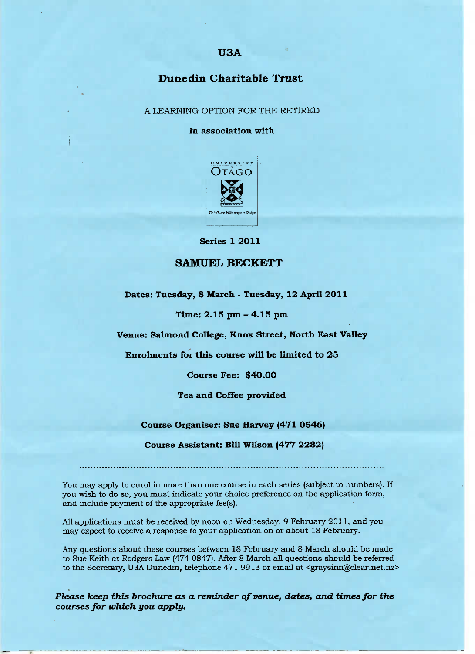### **U3A**

# **Dunedin Charitable Trust**

A LEARNING OPTION FOR THE RETIRED

**in association with**



Series 1 2O11

#### **SAMUEL BECKETT**

**Dates: Tuesday, 8 March - Tuesday, 12 April 2011**

**Time: 2.15 pm - 4.15 pm**

**Venue: Salmond College, Knox Street, North East Valley**

**Enrolments for this course will he limited to 25**

**Course Fee: \$4O.OO**

**Tea and Coffee provided**

**Course Organiser: Sue Harvey (471 0546)**

**Course Assistant: Bill Wilson (477 2282)**

You may apply to enrol in more than one course in each series (subject to numbers). If you wish to do so, you must indicate your choice preference on the application form, and include payment of the appropriate fee(s).

All applications must be received by noon on Wednesday, 9 February 2011, and you may expect to receive a response to your application on or about 18 February.

Any questions about these courses between 18 February and 8 March should be made to Sue Keith at Rodgers Law (474 0847). After 8 March all questions should be referred to the Secretary, USA Dunedin, telephone 471 9913 or email at <graysinn@clear.net.nz>

*Please keep this brochure as a reminder of venue, dates, and times for the courses for which you apply.*